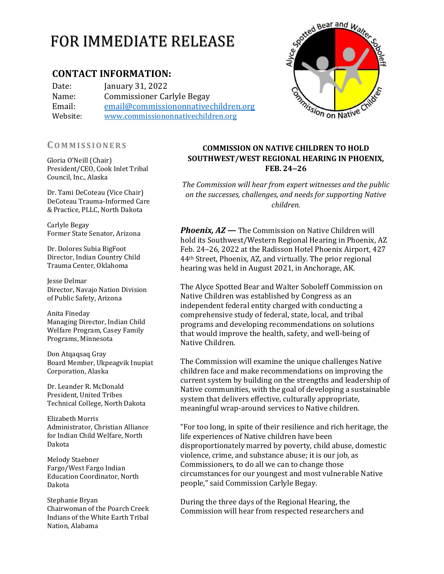# CONTACT INFORMATION:

Date: January 31, 2022 Name: Commissioner Carlyle Begay Email: email@commissiononnativechildren.org Website: www.commissiononnativechildren.org

Gloria O'Neill (Chair) President/CEO, Cook Inlet Tribal Council, Inc., Alaska

Dr. Tami DeCoteau (Vice Chair) DeCoteau Trauma‐Informed Care & Practice, PLLC, North Dakota

Carlyle Begay Former State Senator, Arizona

Dr. Dolores Subia BigFoot Director, Indian Country Child Trauma Center, Oklahoma

Jesse Delmar Director, Navajo Nation Division of Public Safety, Arizona

Anita Fineday Managing Director, Indian Child Welfare Program, Casey Family Programs, Minnesota

Don Atqaqsaq Gray Board Member, Ukpeagvik Inupiat Corporation, Alaska

Dr. Leander R. McDonald President, United Tribes Technical College, North Dakota

Elizabeth Morris Administrator, Christian Alliance for Indian Child Welfare, North Dakota

Melody Staebner Fargo/West Fargo Indian Education Coordinator, North Dakota

Stephanie Bryan Chairwoman of the Poarch Creek Indians of the White Earth Tribal Nation, Alabama

# COMMISSION ON NATIVE CHILDREN TO HOLD SOUTHWEST/WEST REGIONAL HEARING IN PHOENIX, FEB. 24‒26

The Commission will hear from expert witnesses and the public on the successes, challenges, and needs for supporting Native children.

**Phoenix, AZ** — The Commission on Native Children will hold its Southwest/Western Regional Hearing in Phoenix, AZ Feb. 24–26, 2022 at the Radisson Hotel Phoenix Airport, 427 44th Street, Phoenix, AZ, and virtually. The prior regional hearing was held in August 2021, in Anchorage, AK.

The Alyce Spotted Bear and Walter Soboleff Commission on Native Children was established by Congress as an independent federal entity charged with conducting a comprehensive study of federal, state, local, and tribal programs and developing recommendations on solutions that would improve the health, safety, and well‐being of Native Children.

The Commission will examine the unique challenges Native children face and make recommendations on improving the current system by building on the strengths and leadership of Native communities, with the goal of developing a sustainable system that delivers effective, culturally appropriate, meaningful wrap‐around services to Native children.

"For too long, in spite of their resilience and rich heritage, the life experiences of Native children have been disproportionately marred by poverty, child abuse, domestic violence, crime, and substance abuse; it is our job, as Commissioners, to do all we can to change those circumstances for our youngest and most vulnerable Native people," said Commission Carlyle Begay.

During the three days of the Regional Hearing, the Commission will hear from respected researchers and